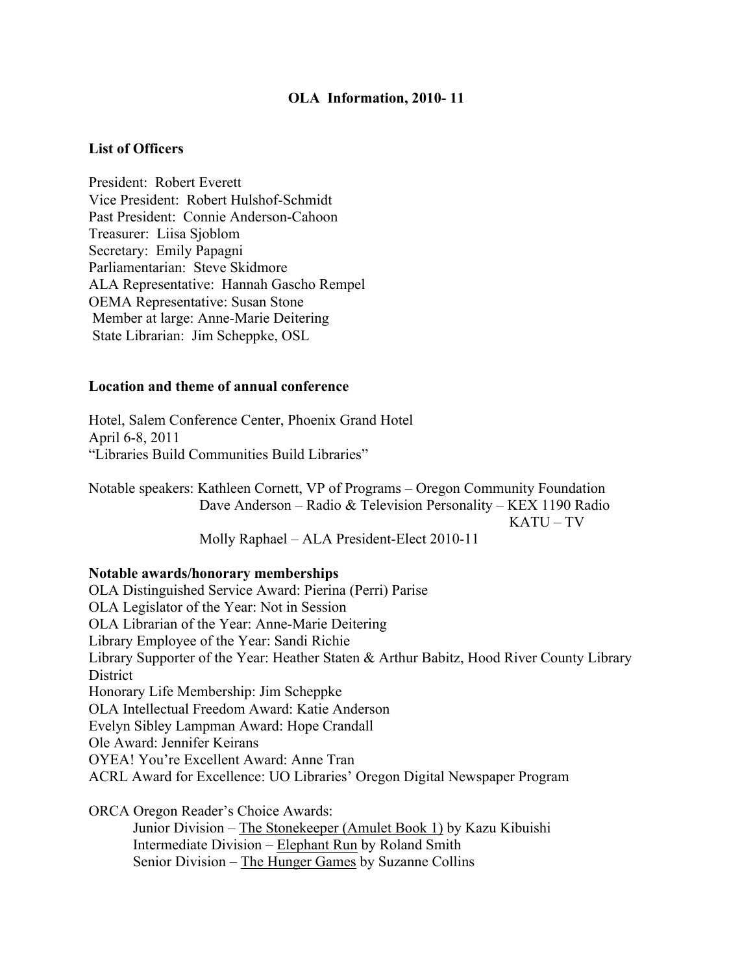## **OLA Information, 2010- 11**

## **List of Officers**

President: Robert Everett Vice President: Robert Hulshof-Schmidt Past President: Connie Anderson-Cahoon Treasurer: Liisa Sjoblom Secretary: Emily Papagni Parliamentarian: Steve Skidmore ALA Representative: Hannah Gascho Rempel OEMA Representative: Susan Stone Member at large: Anne-Marie Deitering State Librarian: Jim Scheppke, OSL

### **Location and theme of annual conference**

Hotel, Salem Conference Center, Phoenix Grand Hotel April 6-8, 2011 "Libraries Build Communities Build Libraries"

Notable speakers: Kathleen Cornett, VP of Programs – Oregon Community Foundation Dave Anderson – Radio & Television Personality – KEX 1190 Radio KATU – TV

Molly Raphael – ALA President-Elect 2010-11

#### **Notable awards/honorary memberships**

OLA Distinguished Service Award: Pierina (Perri) Parise OLA Legislator of the Year: Not in Session OLA Librarian of the Year: Anne-Marie Deitering Library Employee of the Year: Sandi Richie Library Supporter of the Year: Heather Staten & Arthur Babitz, Hood River County Library **District** Honorary Life Membership: Jim Scheppke OLA Intellectual Freedom Award: Katie Anderson Evelyn Sibley Lampman Award: Hope Crandall Ole Award: Jennifer Keirans OYEA! You're Excellent Award: Anne Tran ACRL Award for Excellence: UO Libraries' Oregon Digital Newspaper Program

ORCA Oregon Reader's Choice Awards: Junior Division – The Stonekeeper (Amulet Book 1) by Kazu Kibuishi Intermediate Division – Elephant Run by Roland Smith Senior Division – The Hunger Games by Suzanne Collins